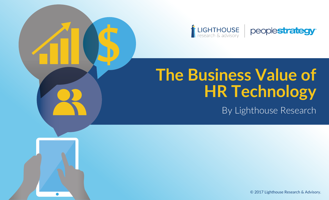

# **The Business Value of HR Technology**

By Lighthouse Research

peoplestrategy®

© 2017 Lighthouse Research & Advisory.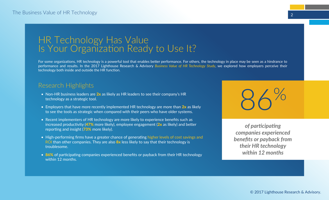## HR Technology Has Value Is Your Organization Ready to Use It?

For some organizations, HR technology is a powerful tool that enables better performance. For others, the technology in place may be seen as a hindrance to performance and results. In the 2017 Lighthouse Research & Advisory *Business Value of HR Technology Study*, we explored how employers perceive their technology both inside and outside the HR function.

### Research Highlights

- Non-HR business leaders are  $2x$  as likely as HR leaders to see their company's HR technology as a strategic tool.
- Employers that have more recently implemented HR technology are more than  $2x$  as likely to see the tools as strategic when compared with their peers who have older systems.
- Recent implementers of HR technology are more likely to experience benefits such as increased productivity  $(47%$  more likely), employee engagement  $(2x)$  as likely) and better reporting and insight (73% more likely).
- High-performing firms have a greater chance of generating higher levels of cost savings and ROI than other companies. They are also  $8x$  less likely to say that their technology is troublesome.
- 86% of participating companies experienced benefits or payback from their HR technology within 12 months.

86%

*of participating companies experienced benefits or payback from their HR technology within 12 months*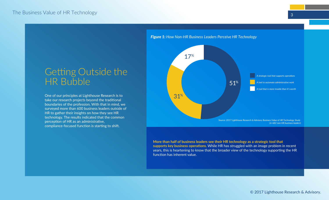# Getting Outside the HR Bubble

One of our principles at Lighthouse Research is to take our research projects beyond the traditional boundaries of the profession. With that in mind, we surveyed more than 600 business leaders outside of HR to gather their insights on how they see HR technology. The results indicated that the common perception of HR as an administrative, compliance-focused function is starting to shift.



**More than half of business leaders see their HR technology as a strategic tool that supports key business operations.** While HR has struggled with an image problem in recent years, this is heartening to know that the broader view of the technology supporting the HR function has inherent value.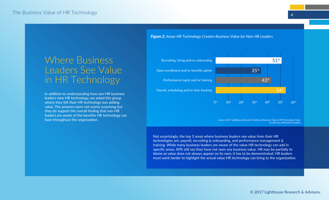# Where Business Leaders See Value

In addition to understanding how non-HR business leaders view HR technology, we asked this group where they felt their HR technology was adding value. The answers were not overly surprising but they do support the overall finding that non-HR leaders are aware of the benefits HR technology can have throughout the organization.

*Figure 2: Areas HR Technology Creates Business Value for Non-HR Leaders*



*Source: 2017 Lighthouse Research & Advisory Business Value of HR Technology Study (n=682 non-HR business leaders)*

Not surprisingly, the top 3 areas where business leaders see value from their HR technologies are: payroll, recruiting & onboarding, and performance management & training. While many business leaders are aware of the value HR technology can add in specific areas, 40% still say they have not seen any business value. HR may be partially to blame as value does not always appear on its own; it has to be demonstrated. HR leaders must work harder to highlight the actual value HR technology can bring to the organization.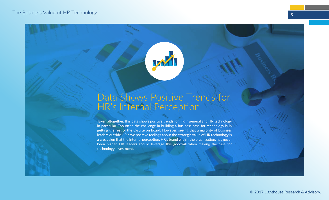

# Data Shows Positive Trends for HR's Internal Perception

Taken altogether, this data shows positive trends for HR in general and HR technology in particular. Too often the challenge in building a business case for technology is in getting the rest of the C-suite on board. However, seeing that a majority of business leaders outside HR have positive feelings about the strategic value of HR technology is a great sign that the internal perception, HR's brand within the organization, has never been higher. HR leaders should leverage this goodwill when making the case for technology investment.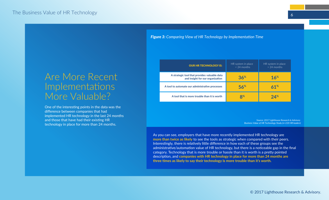# Are More Recent More Valuable?

One of the interesting points in the data was the difference between companies that had implemented HR technology in the last 24 months and those that have had their existing HR technology in place for more than 24 months.

*Figure 3: Comparing View of HR Technology by Implementation Time*

| <b>OUR HR TECHNOLOGY IS:</b>                                                     | HR system in place<br>$<$ 24 months | HR system in place<br>$> 24$ months |
|----------------------------------------------------------------------------------|-------------------------------------|-------------------------------------|
| A strategic tool that provides valuable data<br>and insight for our organization | 36%                                 | 16 <sup>%</sup>                     |
| A tool to automate our administrative processes                                  | 56%                                 | 61%                                 |
| A tool that is more trouble than it is worth                                     | $\mathbf{Q}$ %                      | 24%                                 |

*Source: 2017 Lighthouse Research & Advisory Business Value of HR Technology Study (n=220 HR leaders)*

As you can see, employers that have more recently implemented HR technology are **more than twice as likely** to see the tools as strategic when compared with their peers. Interestingly, there is relatively little difference in how each of these groups see the administrative/automation value of HR technology, but there is a noticeable gap in the final category. Technology that is more trouble or hassle than it is worth is a pretty pointed description, and **companies with HR technology in place for more than 24 months are three times as likely to say their technology is more trouble than it's worth.**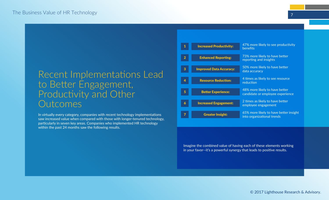## Recent Implementations Lead to Better Engagement, Productivity and Other **Outcomes**

In virtually every category, companies with recent technology implementations saw increased value when compared with those with longer-tenured technology, particularly in seven key areas. Companies who implemented HR technology within the past 24 months saw the following results.

| 1              | <b>Increased Productivity:</b> | 47% more likely to see productivity<br>benefits                      |
|----------------|--------------------------------|----------------------------------------------------------------------|
| $\overline{2}$ | <b>Enhanced Reporting:</b>     | 73% more likely to have better<br>reporting and insights             |
| 3              | <b>Improved Data Accuracy:</b> | 50% more likely to have better<br>data accuracy                      |
| 4              | <b>Resource Reduction:</b>     | 4 times as likely to see resource<br>reduction                       |
| 5              | <b>Better Experience:</b>      | 48% more likely to have better<br>candidate or employee experience   |
| 6              | <b>Increased Engagement:</b>   | 2 times as likely to have better<br>employee engagement              |
| 7              | <b>Greater Insight:</b>        | 65% more likely to have better insight<br>into organizational trends |

Imagine the combined value of having each of these elements working in your favor--it's a powerful synergy that leads to positive results.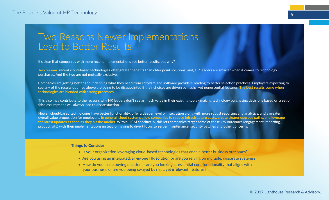# Two Reasons Newer Implementations Lead to Better Results

It's clear that companies with more recent implementations see better results, but why?

Two reasons: recent cloud-based technologies offer greater benefits than older point solutions; and, HR leaders are smarter when it comes to technology purchases. And the two are not mutually exclusive.

Companies are getting better about defining what they need from software and software providers, leading to better selection practices. Employers expecting to see any of the results outlined above are going to be disappointed if their choices are driven by flashy, yet nonessential features. **The best results come when technologies are blended with strong processes.**

This also may contribute to the reasons why HR leaders don't see as much value in their existing tools - making technology purchasing decisions based on a set of false assumptions will always lead to dissatisfaction.

Newer, cloud-based technologies have better functionality, offer a deeper level of integration along with more robust reporting and analytics, and a greater overall value proposition for employers. **In general, cloud systems allow companies to reduce infrastructure costs, create clearer upgrade paths, and leverage the latest updates as soon as they hit the market.** Within HCM specifically, this lets companies target some of these key outcomes (engagement, reporting, productivity) with their implementations instead of having to divert focus to server maintenance, security patches and other concerns.

#### Things to Consider

- Is your organization leveraging cloud-based technologies that enable better business outcomes?
- Are you using an integrated, all-in-one HR solution or are you relying on multiple, disparate systems?
- How do you make buying decisions--are you looking at essential core functionality that aligns with your business, or are you being swayed by neat, yet irrelevant, features?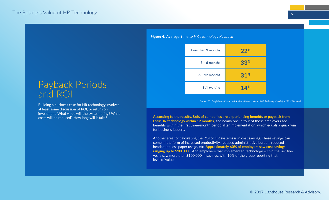# Payback Periods and ROI

Building a business case for HR technology involves at least some discussion of ROI, or return on investment. What value will the system bring? What costs will be reduced? How long will it take?

#### *Figure 4: Average Time to HR Technology Payback*

| Less than 3 months   | $22^{\circ}$    |
|----------------------|-----------------|
| $3 - 6$ months       | 33 <sup>%</sup> |
| $6 - 12$ months      | $31%$           |
| <b>Still waiting</b> | 14%             |

*Source: 2017 Lighthouse Research & Advisory Business Value of HR Technology Study (n=220 HR leaders)*

**According to the results, 86% of companies are experiencing benefits or payback from their HR technology within 12 months**, and nearly one in four of those employers see benefits within the first three-month period after implementation, which equals a quick win for business leaders.

Another area for calculating the ROI of HR systems is in cost savings. These savings can come in the form of increased productivity, reduced administrative burden, reduced headcount, less paper usage, etc. **Approximately 60% of employers saw cost savings ranging up to \$100,000.** And employers that implemented technology within the last two years saw more than \$100,000 in savings, with 10% of the group reporting that level of value.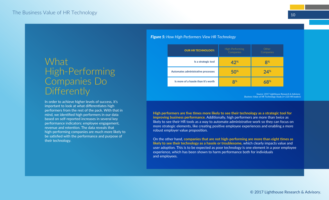# **What** High-Performing Companies Do **Differently**

In order to achieve higher levels of success, it's important to look at what differentiates high performers from the rest of the pack. With that in mind, we identified high performers in our data based on self-reported increases in several key performance indicators: employee engagement, revenue and retention. The data reveals that high-performing companies are much more likely to be satisfied with the performance and purpose of their technology.

#### *Figure 5: How High Performers View HR Technology*

| <b>OUR HR TECHNOLOGY:</b>           | High-Performing<br>Companies | Other<br>Companies |
|-------------------------------------|------------------------------|--------------------|
| Is a strategic tool                 | 42%                          | 8 <sup>%</sup>     |
| Automates administrative processes  | 50 <sup>%</sup>              | 24%                |
| Is more of a hassle than it's worth | $\mathbf{R}^{\infty}$        |                    |

*Source: 2017 Lighthouse Research & Advisory Business Value of HR Technology Study (n=220 HR leaders)*

**High performers are five times more likely to see their technology as a strategic tool for improving business performance.** Additionally, high performers are more than twice as likely to see their HR tools as a way to automate administrative work so they can focus on more strategic elements, like creating positive employee experiences and enabling a more robust employer value proposition.

On the other hand, **companies that are not high-performing are more than eight times as likely to see their technology as a hassle or troublesome,** which clearly impacts value and user adoption. This is to be expected as poor technology is one element in a poor employee experience, which has been shown to harm performance both for individuals and employees.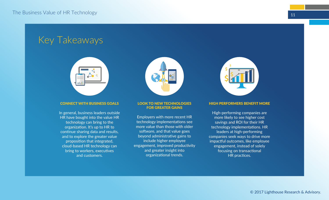# Key Takeaways



#### CONNECT WITH BUSINESS GOALS

In general, business leaders outside HR have bought into the value HR technology can bring to the organization. It's up to HR to continue sharing data and results, and to explore the greater value proposition that integrated, cloud-based HR technology can bring to workers, executives and customers.



#### LOOK TO NEW TECHNOLOGIES FOR GREATER GAINS

Employers with more recent HR technology implementations see more value than those with older software, and that value goes beyond administrative gains to include higher employee engagement, improved productivity and greater insight into organizational trends.



#### HIGH PERFORMERS BENEFIT MORE

High-performing companies are more likely to see higher cost savings and ROI for their HR technology implementations. HR leaders at high-performing companies seek ways to drive more impactful outcomes, like employee engagement, instead of solely focusing on transactional HR practices.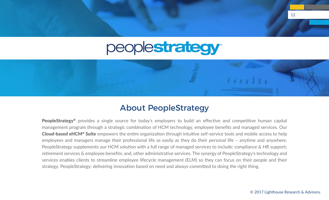# peoplestrategy<sup>®</sup>



### About PeopleStrategy

**PeopleStrategy®** provides a single source for today's employers to build an effective and competitive human capital management program through a strategic combination of HCM technology, employee benefits and managed services. Our Cloud-based eHCM® Suite empowers the entire organization through intuitive self-service tools and mobile access to help employees and managers manage their professional life as easily as they do their personal life – anytime and anywhere. PeopleStrategy supplements our HCM solution with a full range of managed services to include: compliance & HR support; retirement services & employee benefits; and, other administrative services. The synergy of PeopleStrategy's technology and services enables clients to streamline employee lifecycle management (ELM) so they can focus on their people and their strategy. PeopleStrategy: delivering innovation based on need and always committed to doing the right thing.

12